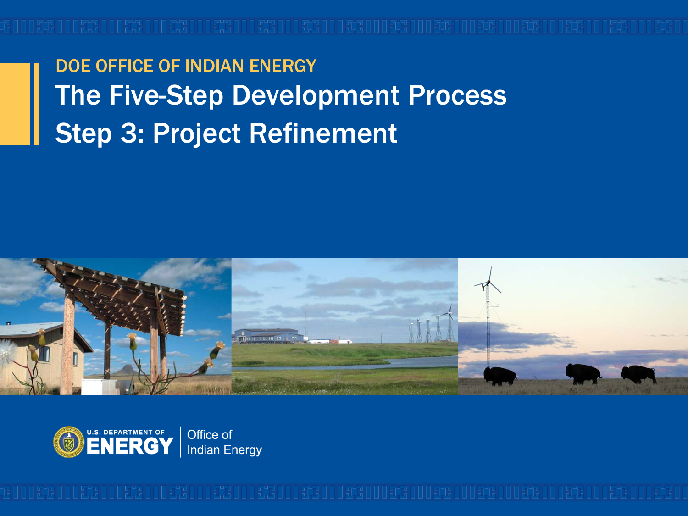DOE OFFICE OF INDIAN ENERGY The Five-Step Development Process Step 3: Project Refinement



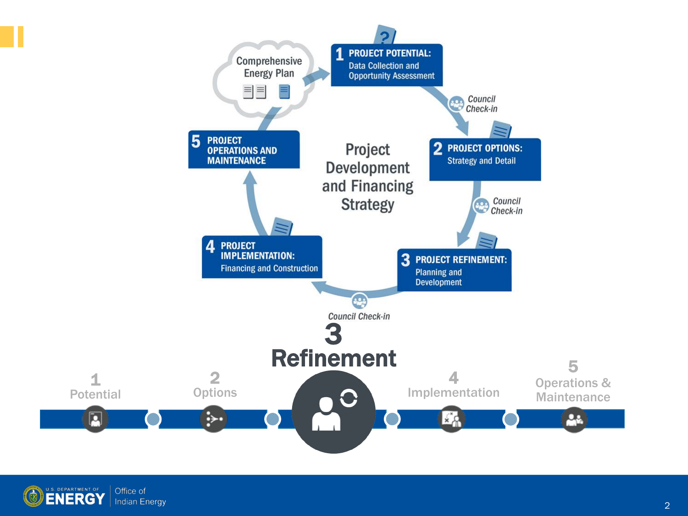

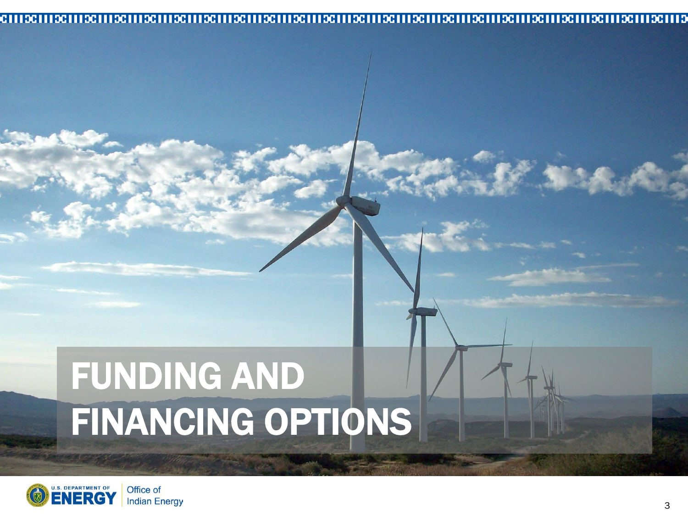#### 

# FUNDING AND FINANCING OPTIONS

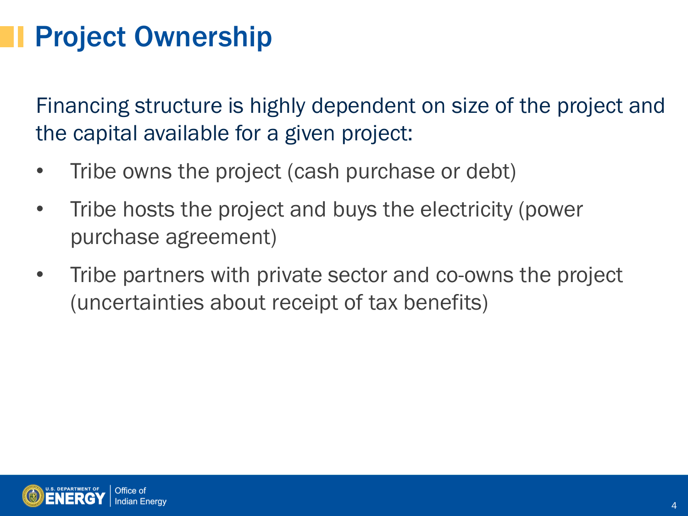### Project Ownership

Financing structure is highly dependent on size of the project and the capital available for a given project:

- Tribe owns the project (cash purchase or debt)
- Tribe hosts the project and buys the electricity (power purchase agreement)
- Tribe partners with private sector and co-owns the project (uncertainties about receipt of tax benefits)

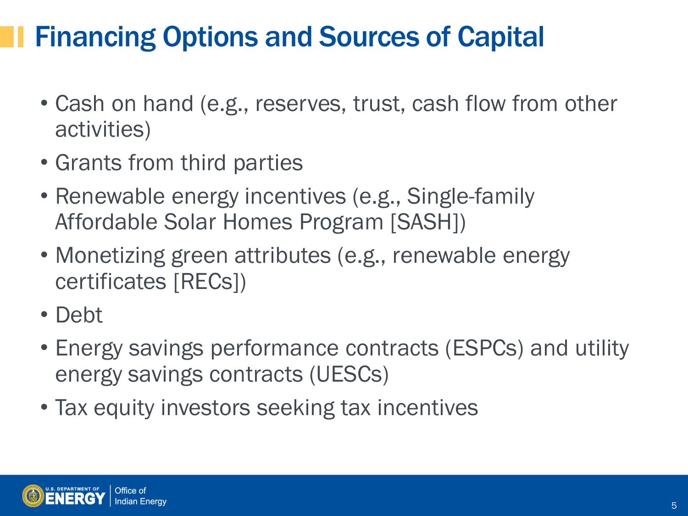### Financing Options and Sources of Capital

- Cash on hand (e.g., reserves, trust, cash flow from other activities)
- Grants from third parties
- Renewable energy incentives (e.g., Single-family Affordable Solar Homes Program [SASH])
- Monetizing green attributes (e.g., renewable energy certificates [RECs])
- Debt
- Energy savings performance contracts (ESPCs) and utility energy savings contracts (UESCs)
- Tax equity investors seeking tax incentives

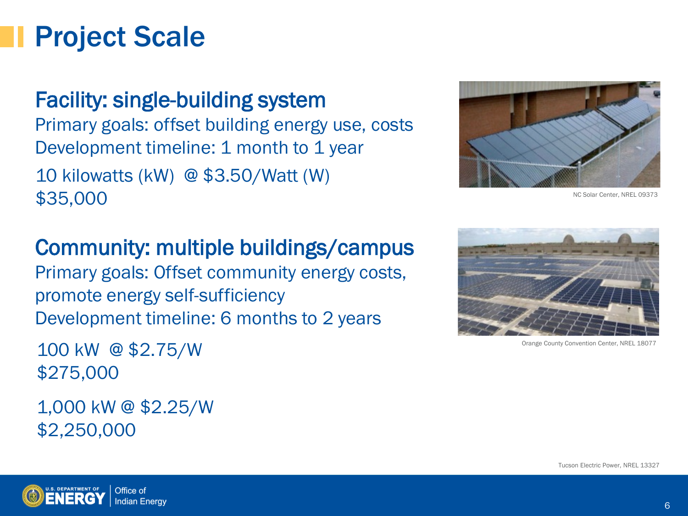#### Project Scale

Facility: single-building system Primary goals: offset building energy use, costs Development timeline: 1 month to 1 year 10 kilowatts (kW) @ \$3.50/Watt (W) \$35,000

#### Community: multiple buildings/campus

Primary goals: Offset community energy costs, promote energy self-sufficiency Development timeline: 6 months to 2 years

 100 kW @ \$2.75/W \$275,000

1,000 kW @ \$2.25/W \$2,250,000



NC Solar Center, NREL 09373



Orange County Convention Center, NREL 18077

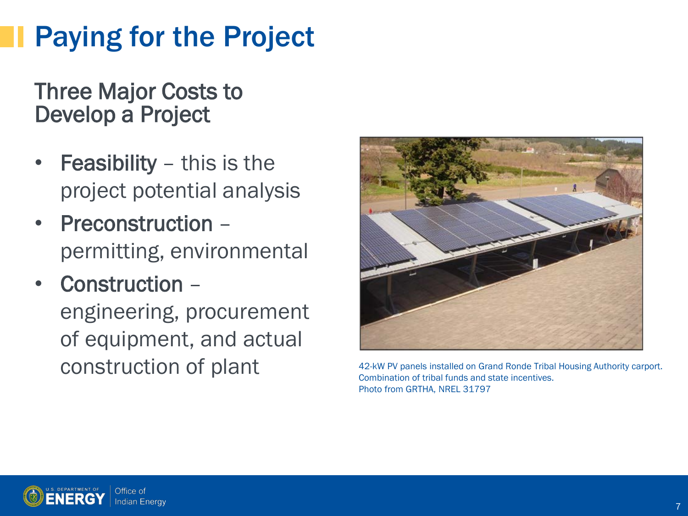# Paying for the Project

Three Major Costs to Develop a Project

- **Feasibility** this is the project potential analysis
- Preconstruction permitting, environmental
- Construction engineering, procurement of equipment, and actual construction of plant 42-kW PV panels installed on Grand Ronde Tribal Housing Authority carport.



Combination of tribal funds and state incentives. Photo from GRTHA, NREL 31797

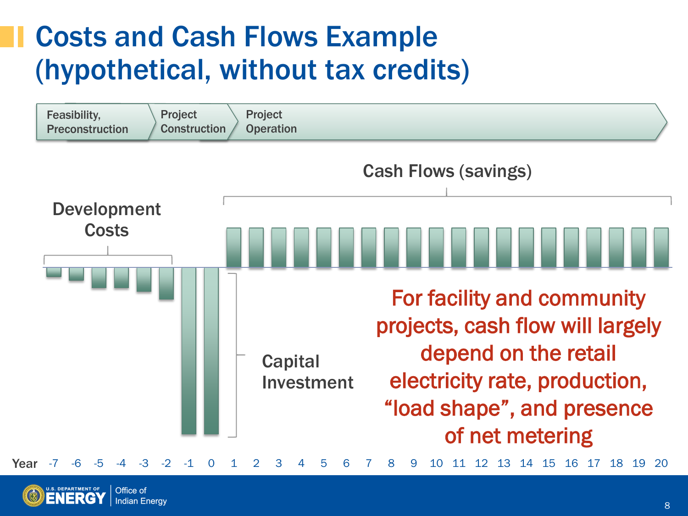#### Costs and Cash Flows Example (hypothetical, without tax credits)



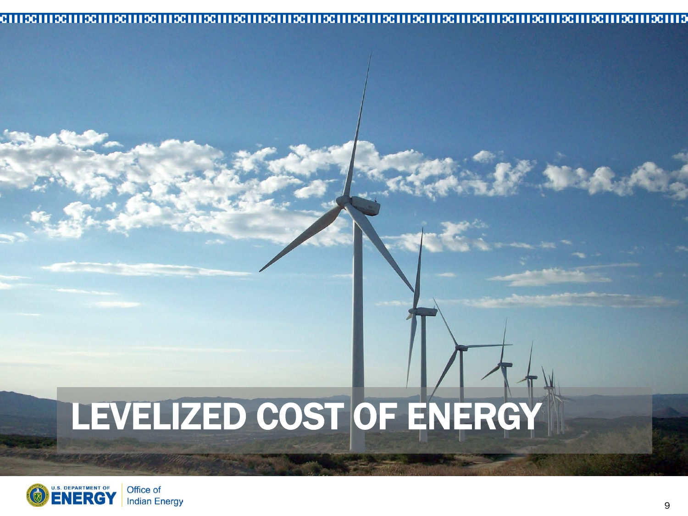#### 

# LEVELIZED COST OF ENERGY



■ 名 ズ 。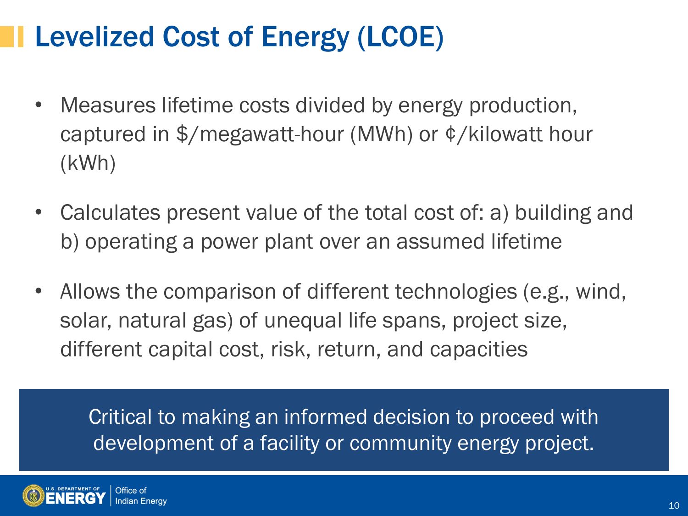### Levelized Cost of Energy (LCOE)

- Measures lifetime costs divided by energy production, captured in \$/megawatt-hour (MWh) or ¢/kilowatt hour (kWh)
- Calculates present value of the total cost of: a) building and b) operating a power plant over an assumed lifetime
- Allows the comparison of different technologies (e.g., wind, solar, natural gas) of unequal life spans, project size, different capital cost, risk, return, and capacities

Critical to making an informed decision to proceed with development of a facility or community energy project.

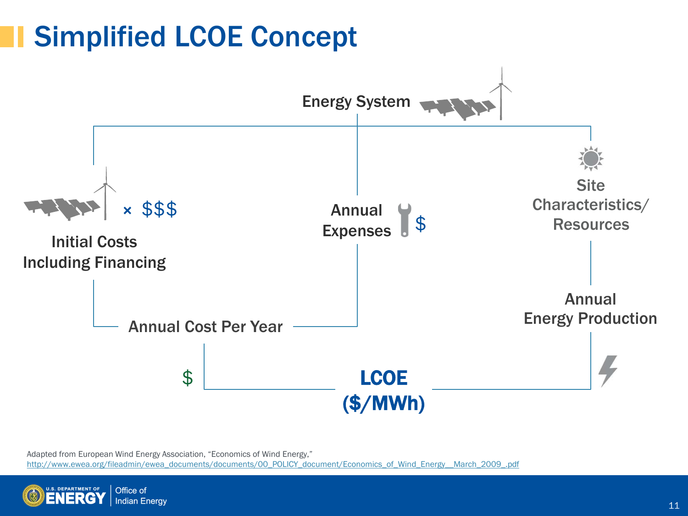### Simplified LCOE Concept



Adapted from European Wind Energy Association, "Economics of Wind Energy," [http://www.ewea.org/fileadmin/ewea\\_documents/documents/00\\_POLICY\\_document/Economics\\_of\\_Wind\\_Energy\\_\\_March\\_2009\\_.pdf](http://www.ewea.org/fileadmin/ewea_documents/documents/00_POLICY_document/Economics_of_Wind_Energy__March_2009_.pdf)

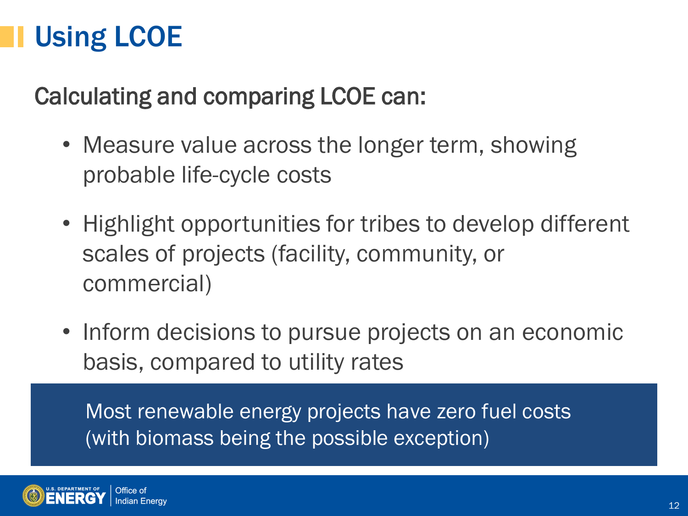## Using LCOE

#### Calculating and comparing LCOE can:

- Measure value across the longer term, showing probable life-cycle costs
- Highlight opportunities for tribes to develop different scales of projects (facility, community, or commercial)
- Inform decisions to pursue projects on an economic basis, compared to utility rates

Most renewable energy projects have zero fuel costs (with biomass being the possible exception)

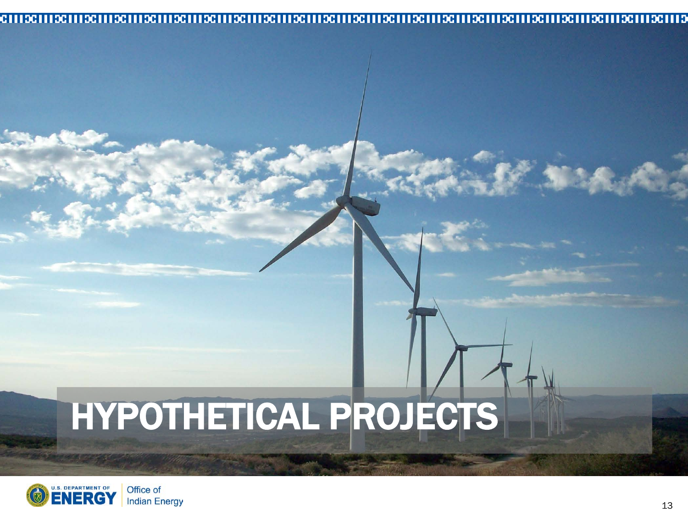#### 

# HYPOTHETICAL PROJECTS



天文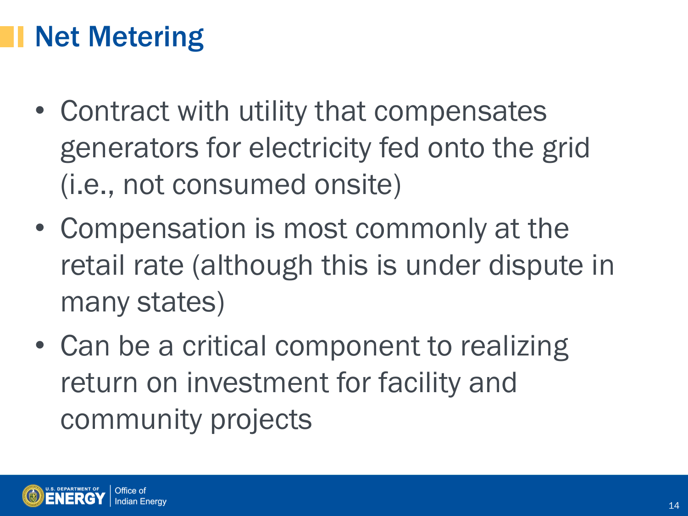### Net Metering

- Contract with utility that compensates generators for electricity fed onto the grid (i.e., not consumed onsite)
- Compensation is most commonly at the retail rate (although this is under dispute in many states)
- Can be a critical component to realizing return on investment for facility and community projects

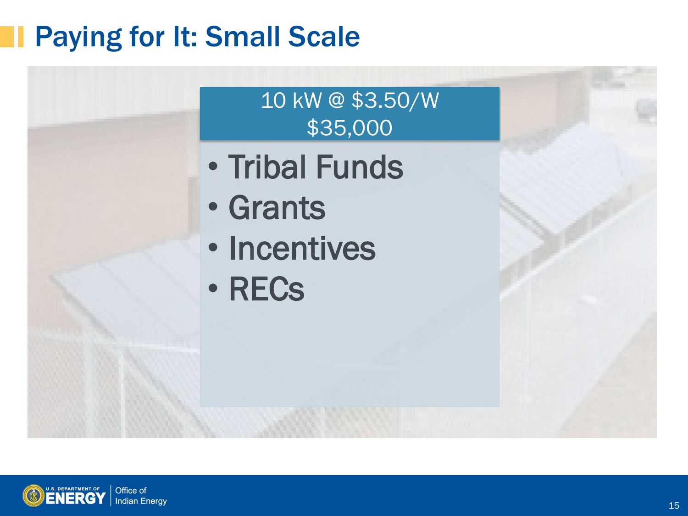### Paying for It: Small Scale



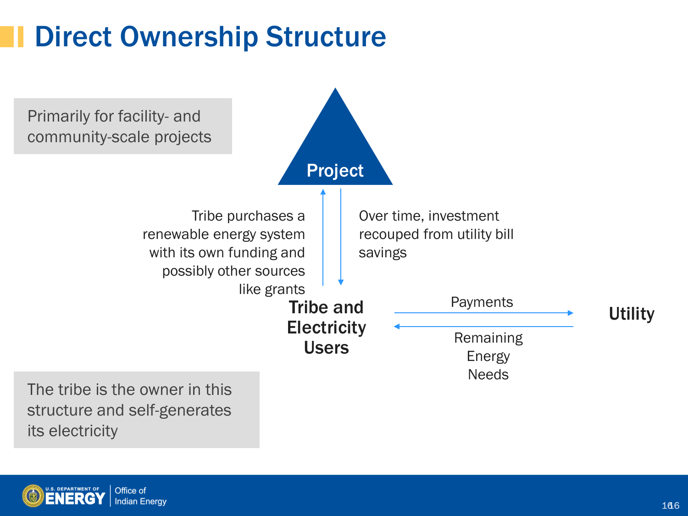## Direct Ownership Structure



its electricity

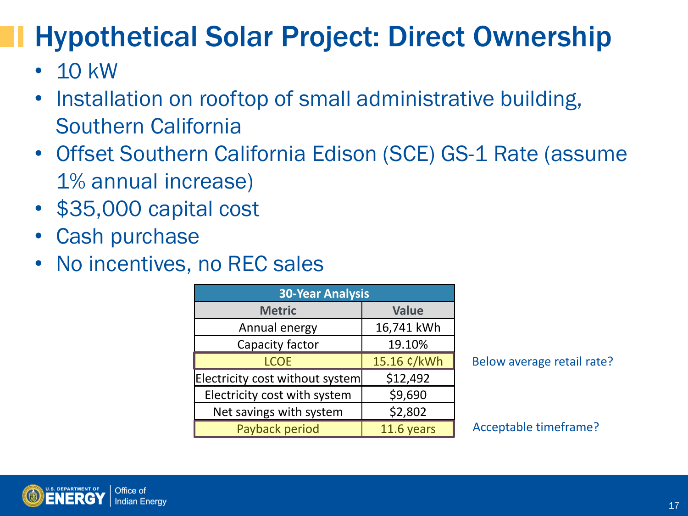# Hypothetical Solar Project: Direct Ownership

- $\cdot$  10 kW
- Installation on rooftop of small administrative building, Southern California
- Offset Southern California Edison (SCE) GS-1 Rate (assume 1% annual increase)
- \$35,000 capital cost
- Cash purchase
- No incentives, no REC sales

| <b>30-Year Analysis</b>         |              |
|---------------------------------|--------------|
| <b>Metric</b>                   | <b>Value</b> |
| Annual energy                   | 16,741 kWh   |
| Capacity factor                 | 19.10%       |
| <b>LCOE</b>                     | 15.16 ¢/kWh  |
| Electricity cost without system | \$12,492     |
| Electricity cost with system    | \$9,690      |
| Net savings with system         | \$2,802      |
| Payback period                  | 11.6 years   |

Below average retail rate?

Acceptable timeframe?

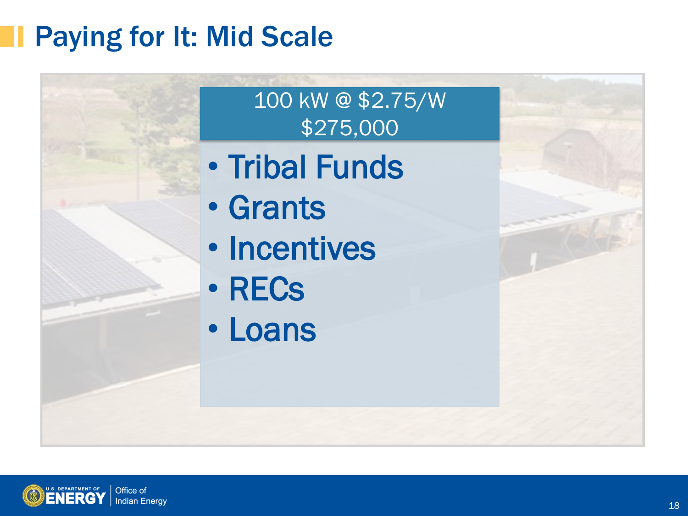## Paying for It: Mid Scale



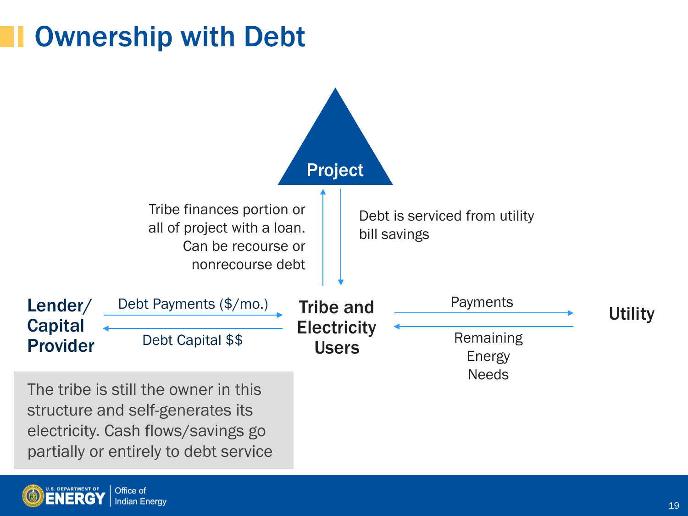#### Ownership with Debt



The tribe is still the owner in this structure and self-generates its electricity. Cash flows/savings go partially or entirely to debt service

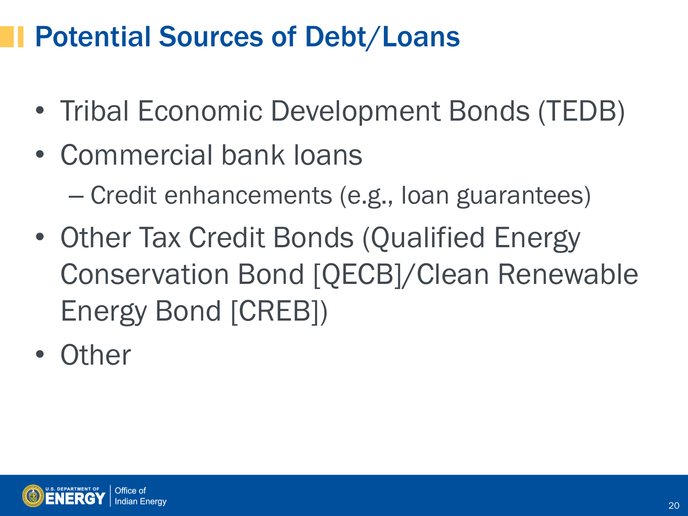### Potential Sources of Debt/Loans

- Tribal Economic Development Bonds (TEDB)
- Commercial bank loans
	- Credit enhancements (e.g., loan guarantees)
- Other Tax Credit Bonds (Qualified Energy Conservation Bond [QECB]/Clean Renewable Energy Bond [CREB])
- Other

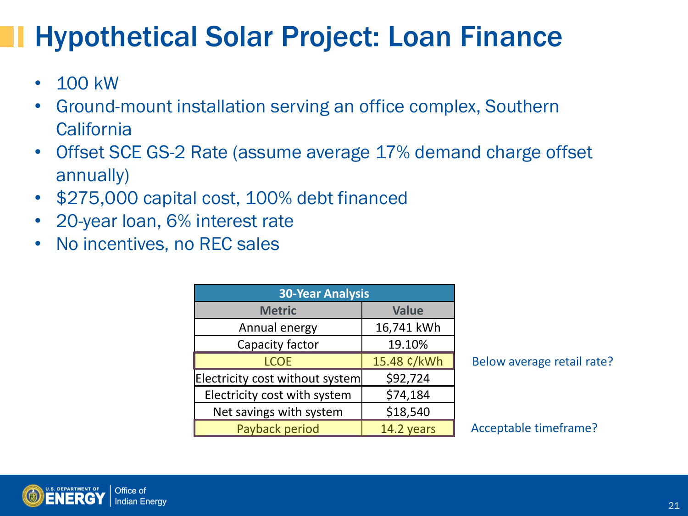### Hypothetical Solar Project: Loan Finance

- 100 kW
- Ground-mount installation serving an office complex, Southern **California**
- Offset SCE GS-2 Rate (assume average 17% demand charge offset annually)
- \$275,000 capital cost, 100% debt financed
- 20-year loan, 6% interest rate
- No incentives, no REC sales

| <b>30-Year Analysis</b>         |              |
|---------------------------------|--------------|
| <b>Metric</b>                   | <b>Value</b> |
| Annual energy                   | 16,741 kWh   |
| Capacity factor                 | 19.10%       |
| <b>LCOE</b>                     | 15.48 ¢/kWh  |
| Electricity cost without system | \$92,724     |
| Electricity cost with system    | \$74,184     |
| Net savings with system         | \$18,540     |
| Payback period                  | 14.2 years   |

Below average retail rate?

Acceptable timeframe?

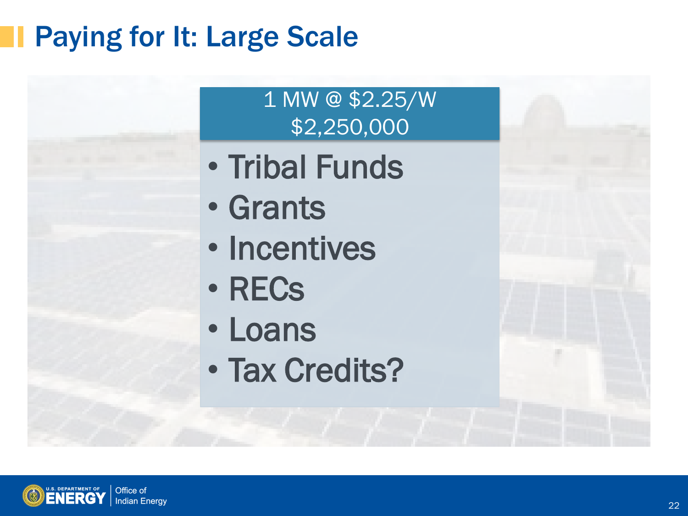## Paying for It: Large Scale

1 MW @ \$2.25/W \$2,250,000

- Tribal Funds
- Grants

֦

- Incentives
- RECs
- Loans
- Tax Credits?



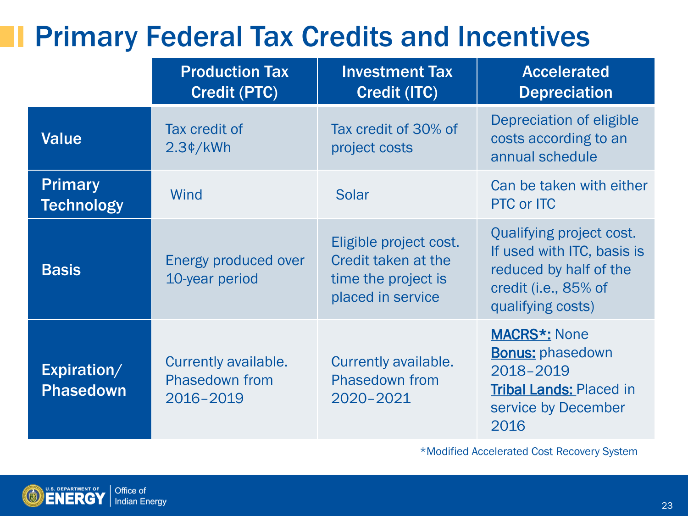#### Primary Federal Tax Credits and Incentives

|                                     | <b>Production Tax</b><br><b>Credit (PTC)</b>               | <b>Investment Tax</b><br><b>Credit (ITC)</b>                                              | <b>Accelerated</b><br><b>Depreciation</b>                                                                                     |
|-------------------------------------|------------------------------------------------------------|-------------------------------------------------------------------------------------------|-------------------------------------------------------------------------------------------------------------------------------|
| <b>Value</b>                        | Tax credit of<br>2.3¢/kWh                                  | Tax credit of 30% of<br>project costs                                                     | Depreciation of eligible<br>costs according to an<br>annual schedule                                                          |
| <b>Primary</b><br><b>Technology</b> | Wind                                                       | <b>Solar</b>                                                                              | Can be taken with either<br><b>PTC or ITC</b>                                                                                 |
| <b>Basis</b>                        | Energy produced over<br>10-year period                     | Eligible project cost.<br>Credit taken at the<br>time the project is<br>placed in service | Qualifying project cost.<br>If used with ITC, basis is<br>reduced by half of the<br>credit (i.e., 85% of<br>qualifying costs) |
| Expiration/<br><b>Phasedown</b>     | Currently available.<br><b>Phasedown from</b><br>2016-2019 | Currently available.<br>Phasedown from<br>2020-2021                                       | <b>MACRS*: None</b><br><b>Bonus: phasedown</b><br>2018-2019<br><b>Tribal Lands: Placed in</b><br>service by December<br>2016  |

\*Modified Accelerated Cost Recovery System

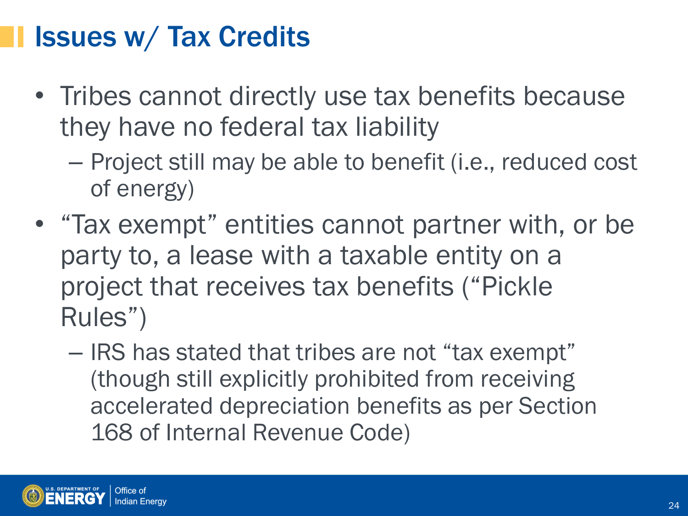#### Issues w/ Tax Credits

- Tribes cannot directly use tax benefits because they have no federal tax liability
	- Project still may be able to benefit (i.e., reduced cost of energy)
- "Tax exempt" entities cannot partner with, or be party to, a lease with a taxable entity on a project that receives tax benefits ("Pickle Rules")
	- IRS has stated that tribes are not "tax exempt" (though still explicitly prohibited from receiving accelerated depreciation benefits as per Section 168 of Internal Revenue Code)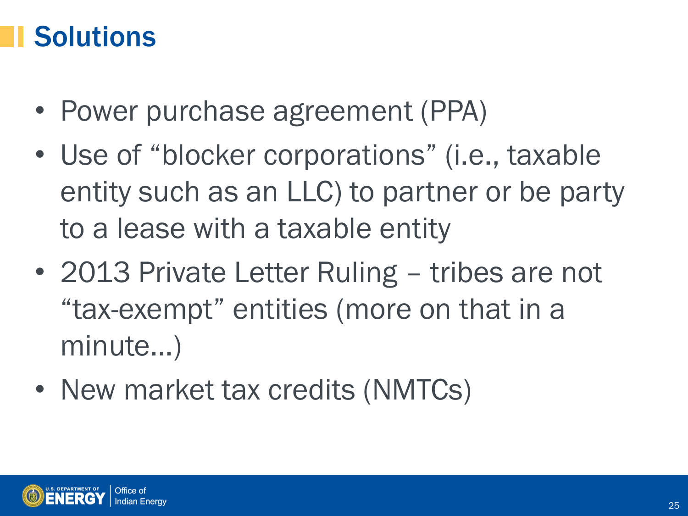#### **Solutions**

- Power purchase agreement (PPA)
- Use of "blocker corporations" (i.e., taxable entity such as an LLC) to partner or be party to a lease with a taxable entity
- 2013 Private Letter Ruling tribes are not "tax-exempt" entities (more on that in a minute...)
- New market tax credits (NMTCs)

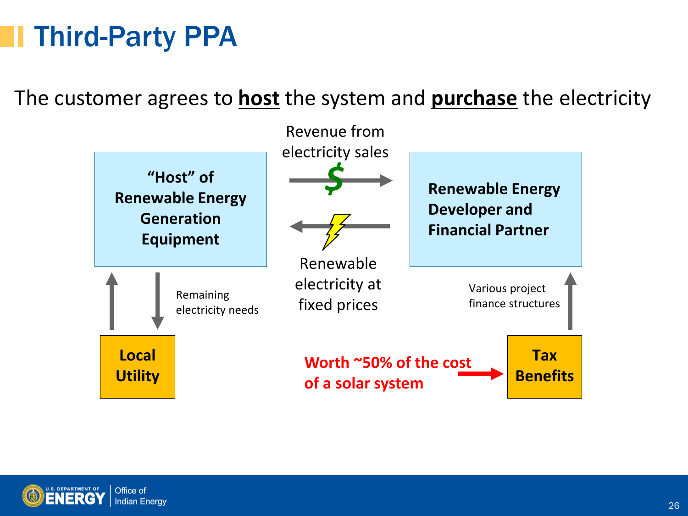### Third-Party PPA

The customer agrees to **host** the system and **purchase** the electricity



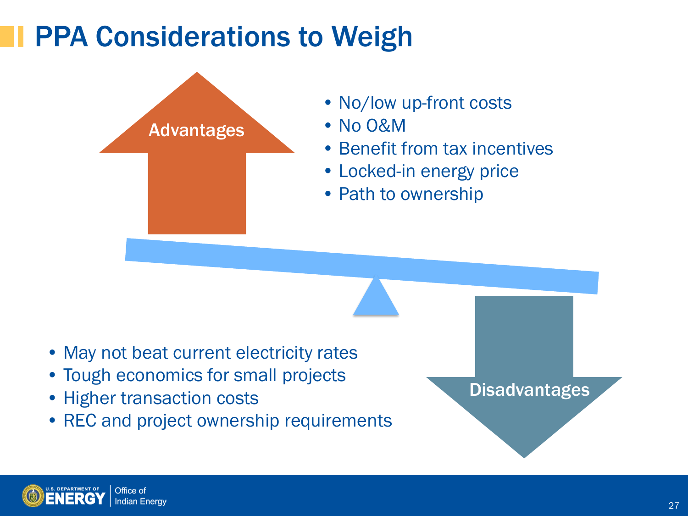#### PPA Considerations to Weigh



- No/low up-front costs
- No O&M
- Benefit from tax incentives
- Locked-in energy price
- Path to ownership

- May not beat current electricity rates
- Tough economics for small projects
- Higher transaction costs
- REC and project ownership requirements

**Disadvantages**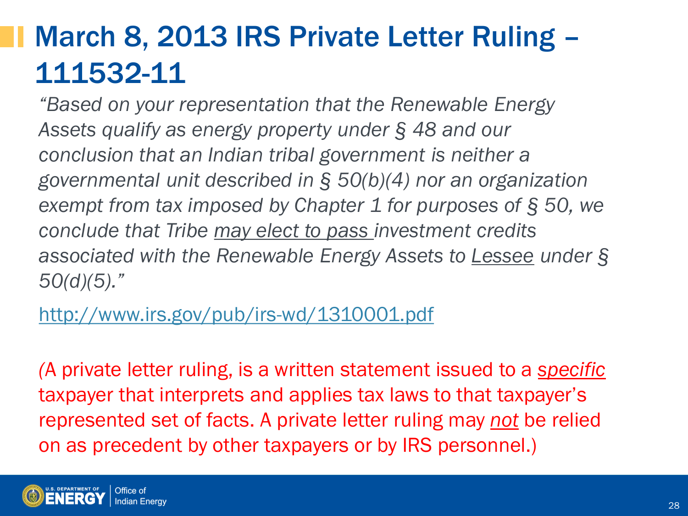## March 8, 2013 IRS Private Letter Ruling – 111532-11

*"Based on your representation that the Renewable Energy Assets qualify as energy property under § 48 and our conclusion that an Indian tribal government is neither a governmental unit described in § 50(b)(4) nor an organization exempt from tax imposed by Chapter 1 for purposes of § 50, we conclude that Tribe may elect to pass investment credits associated with the Renewable Energy Assets to Lessee under § 50(d)(5)."*

<http://www.irs.gov/pub/irs-wd/1310001.pdf>

*(*A private letter ruling, is a written statement issued to a *specific*  taxpayer that interprets and applies tax laws to that taxpayer's represented set of facts. A private letter ruling may *not* be relied on as precedent by other taxpayers or by IRS personnel.)

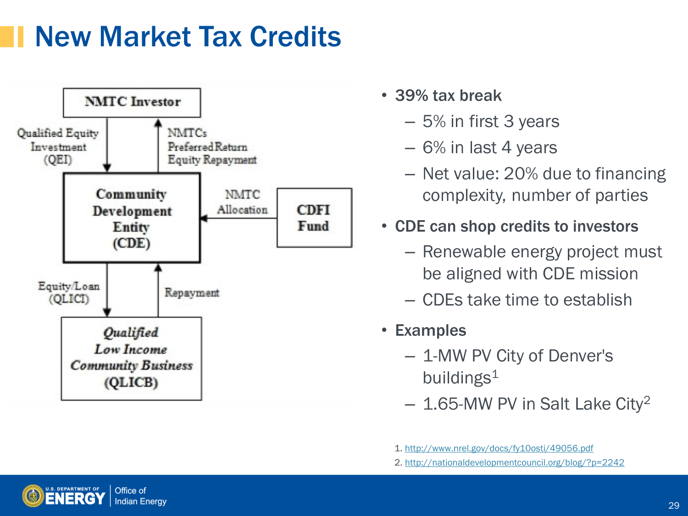#### New Market Tax Credits



- 39% tax break
	- 5% in first 3 years
	- 6% in last 4 years
	- Net value: 20% due to financing complexity, number of parties
- CDE can shop credits to investors
	- Renewable energy project must be aligned with CDE mission
	- CDEs take time to establish
- Examples
	- 1-MW PV City of Denver's buildings $1$
	- $-$  1.65-MW PV in Salt Lake City<sup>2</sup>



<sup>1.</sup> <http://www.nrel.gov/docs/fy10osti/49056.pdf>

<sup>2.</sup> <http://nationaldevelopmentcouncil.org/blog/?p=2242>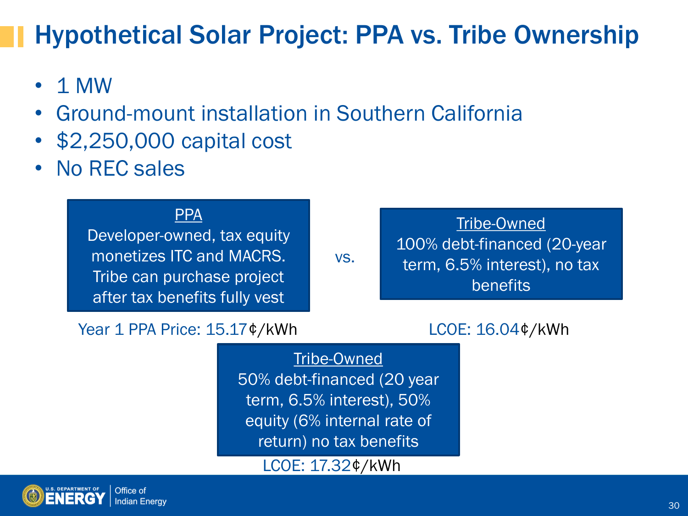#### Hypothetical Solar Project: PPA vs. Tribe Ownership

- 1 MW
- Ground-mount installation in Southern California
- \$2,250,000 capital cost
- No REC sales

#### PPA

Developer-owned, tax equity monetizes ITC and MACRS. Tribe can purchase project after tax benefits fully vest

vs.

Tribe-Owned 100% debt-financed (20-year term, 6.5% interest), no tax benefits

Year 1 PPA Price: 15.17¢/kWh

#### LCOE: 16.04¢/kWh

Tribe-Owned 50% debt-financed (20 year term, 6.5% interest), 50% equity (6% internal rate of return) no tax benefits

LCOE: 17.32¢/kWh

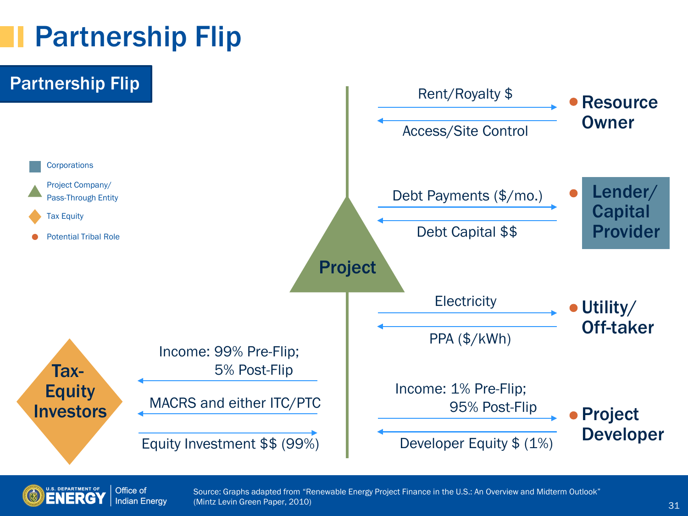#### Partnership Flip





Source: Graphs adapted from "Renewable Energy Project Finance in the U.S.: An Overview and Midterm Outlook" (Mintz Levin Green Paper, 2010)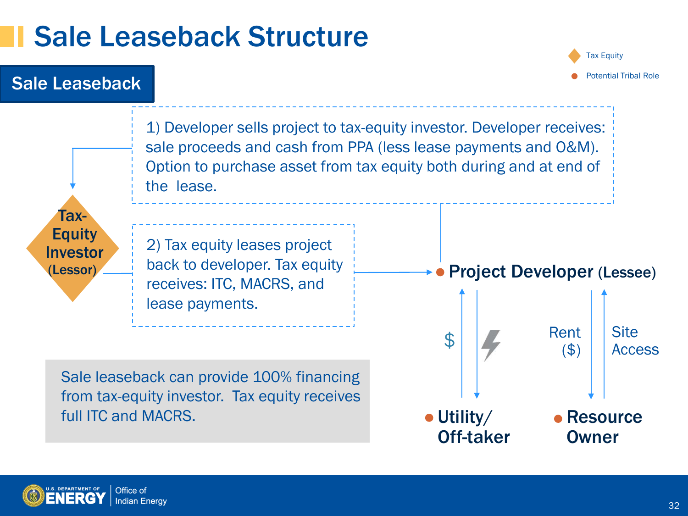#### Sale Leaseback Structure

#### Sale Leaseback

Tax Equity Potential Tribal Role



Utility/ Off-taker **Resource** Owner

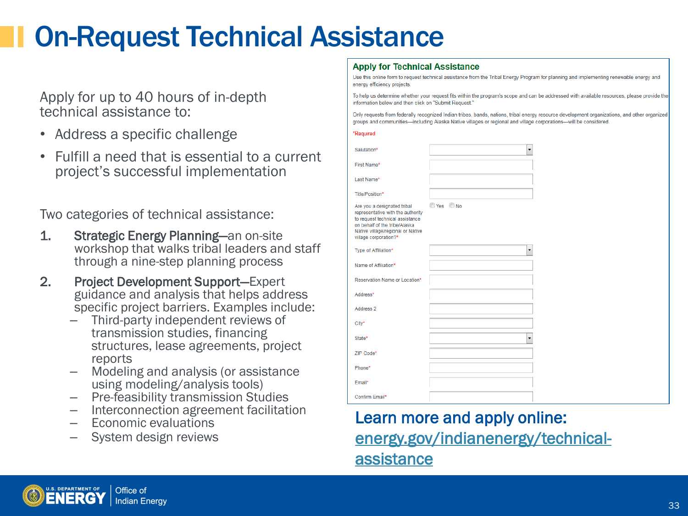### On-Request Technical Assistance

Apply for up to 40 hours of in-depth technical assistance to:

- Address a specific challenge
- Fulfill a need that is essential to a current project's successful implementation

Two categories of technical assistance:

- 1. Strategic Energy Planning—an on-site workshop that walks tribal leaders and staff through a nine-step planning process
- 2. Project Development Support—Expert guidance and analysis that helps address specific project barriers. Examples include:
	- Third-party independent reviews of transmission studies, financing structures, lease agreements, project
	- reports<br>- Modeling and analysis (or assistance<br>using modeling/analysis tools)
	-
	- using modeling/analysis tools) Pre-feasibility transmission Studies Interconnection agreement facilitation Economic evaluations
	-
	- System design reviews

#### **Apply for Technical Assistance**

Use this online form to request technical assistance from the Tribal Energy Program for planning and implementing renewable energy and energy efficiency projects.

To help us determine whether your request fits within the program's scope and can be addressed with available resources, please provide the information below and then click on "Submit Request."

Only requests from federally recognized Indian tribes, bands, nations, tribal energy resource development organizations, and other organized groups and communities-including Alaska Native villages or regional and village corporations-will be considered.

#### \*Required

|        | Salutation*                                                                                                                                                                                        |         | $\overline{\phantom{0}}$ |
|--------|----------------------------------------------------------------------------------------------------------------------------------------------------------------------------------------------------|---------|--------------------------|
|        | First Name*                                                                                                                                                                                        |         |                          |
|        | Last Name*                                                                                                                                                                                         |         |                          |
|        | Title/Position*                                                                                                                                                                                    |         |                          |
|        | Are you a designated tribal<br>representative with the authority<br>to request technical assistance<br>on behalf of the tribe/Alaska<br>Native village/regional or Native<br>village corporation?* | Yes ONo |                          |
|        | Type of Affiliation*                                                                                                                                                                               |         | ۰                        |
|        | Name of Affiliation*                                                                                                                                                                               |         |                          |
|        | Reservation Name or Location*                                                                                                                                                                      |         |                          |
|        | Address*                                                                                                                                                                                           |         |                          |
|        | Address 2                                                                                                                                                                                          |         |                          |
| City*  |                                                                                                                                                                                                    |         |                          |
| State* |                                                                                                                                                                                                    |         | $\overline{\phantom{0}}$ |
|        | ZIP Code*                                                                                                                                                                                          |         |                          |
|        | Phone*                                                                                                                                                                                             |         |                          |
|        | Email*                                                                                                                                                                                             |         |                          |
|        | Confirm Email*                                                                                                                                                                                     |         |                          |

#### Learn more and apply online: [energy.gov/indianenergy/technical](http://energy.gov/indianenergy/technical-assistance)[assistance](http://energy.gov/indianenergy/technical-assistance)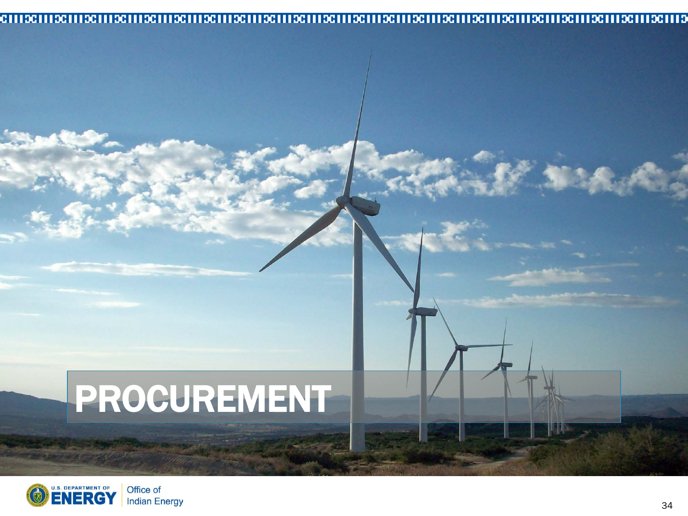#### 

# PROCUREMENT



■名人 大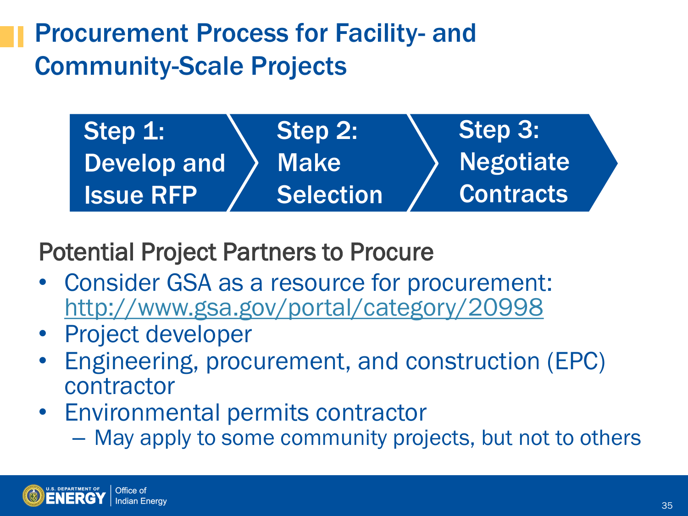#### Procurement Process for Facility- and Community-Scale Projects

Step 3: Negotiate **Contracts** Step 2: Make Selection Step 1: Develop and Issue RFP

Potential Project Partners to Procure

- Consider GSA as a resource for procurement: <http://www.gsa.gov/portal/category/20998>
- Project developer
- Engineering, procurement, and construction (EPC) contractor
- Environmental permits contractor
	- May apply to some community projects, but not to others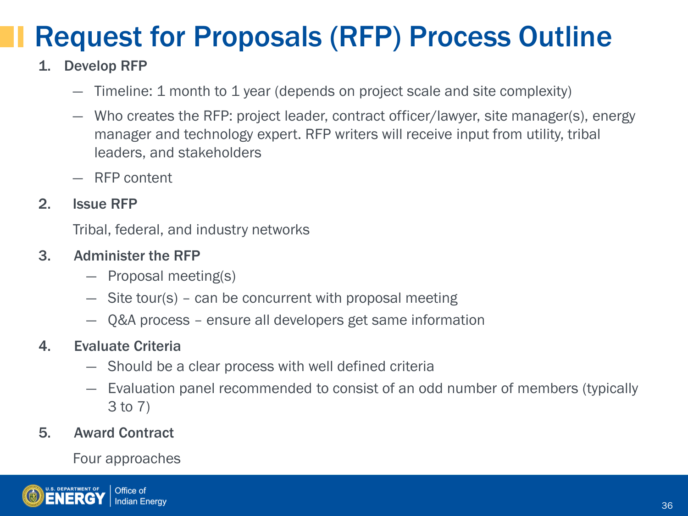# Request for Proposals (RFP) Process Outline

#### 1. Develop RFP

- ― Timeline: 1 month to 1 year (depends on project scale and site complexity)
- ― Who creates the RFP: project leader, contract officer/lawyer, site manager(s), energy manager and technology expert. RFP writers will receive input from utility, tribal leaders, and stakeholders
- ― RFP content

#### 2. Issue RFP

Tribal, federal, and industry networks

#### 3. Administer the RFP

- ― Proposal meeting(s)
- ― Site tour(s) can be concurrent with proposal meeting
- ― Q&A process ensure all developers get same information

#### 4. Evaluate Criteria

- ― Should be a clear process with well defined criteria
- ― Evaluation panel recommended to consist of an odd number of members (typically 3 to 7)

#### 5. Award Contract

Four approaches

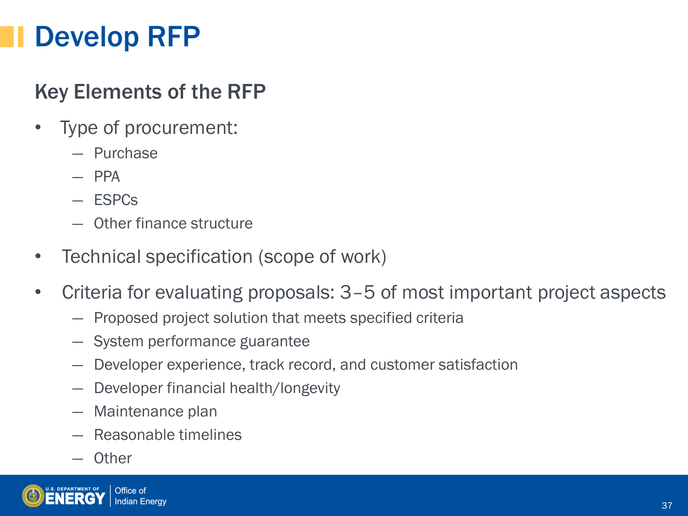#### Develop RFP

#### Key Elements of the RFP

- Type of procurement:
	- ― Purchase
	- ― PPA
	- ― ESPCs
	- ― Other finance structure
- Technical specification (scope of work)
- Criteria for evaluating proposals: 3–5 of most important project aspects
	- ― Proposed project solution that meets specified criteria
	- ― System performance guarantee
	- ― Developer experience, track record, and customer satisfaction
	- ― Developer financial health/longevity
	- ― Maintenance plan
	- ― Reasonable timelines
	- ― Other

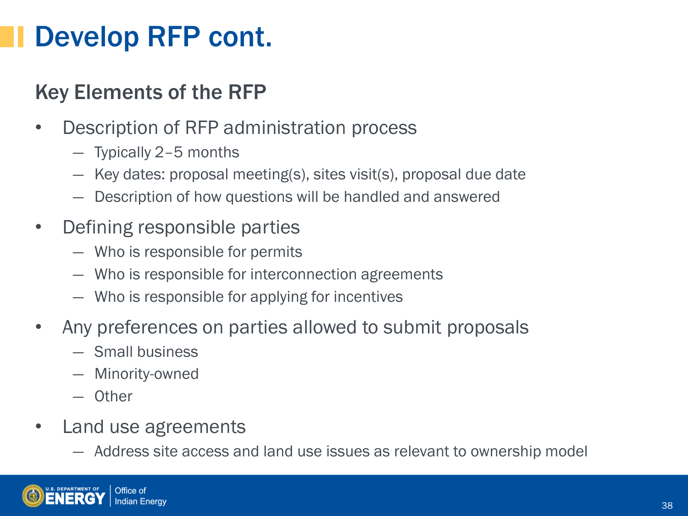#### Develop RFP cont.

#### Key Elements of the RFP

- Description of RFP administration process
	- ― Typically 2–5 months
	- ― Key dates: proposal meeting(s), sites visit(s), proposal due date
	- ― Description of how questions will be handled and answered
- Defining responsible parties
	- ― Who is responsible for permits
	- ― Who is responsible for interconnection agreements
	- ― Who is responsible for applying for incentives
- Any preferences on parties allowed to submit proposals
	- ― Small business
	- ― Minority-owned
	- ― Other
- Land use agreements
	- ― Address site access and land use issues as relevant to ownership model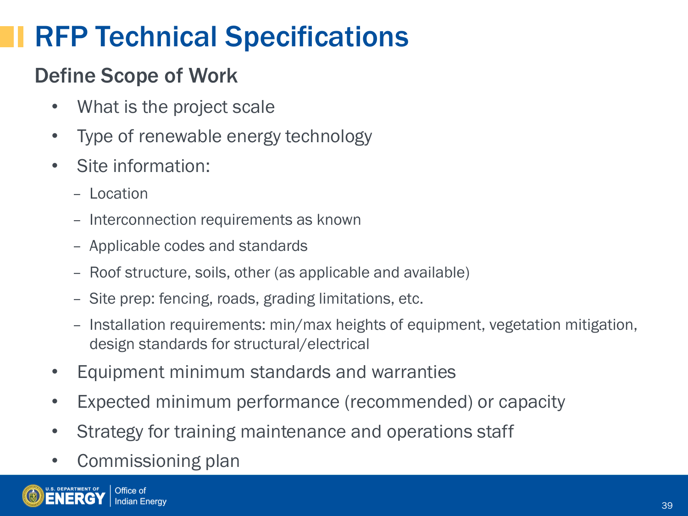### RFP Technical Specifications

#### Define Scope of Work

- What is the project scale
- Type of renewable energy technology
- Site information:
	- Location
	- Interconnection requirements as known
	- Applicable codes and standards
	- Roof structure, soils, other (as applicable and available)
	- Site prep: fencing, roads, grading limitations, etc.
	- Installation requirements: min/max heights of equipment, vegetation mitigation, design standards for structural/electrical
- Equipment minimum standards and warranties
- Expected minimum performance (recommended) or capacity
- Strategy for training maintenance and operations staff
- Commissioning plan

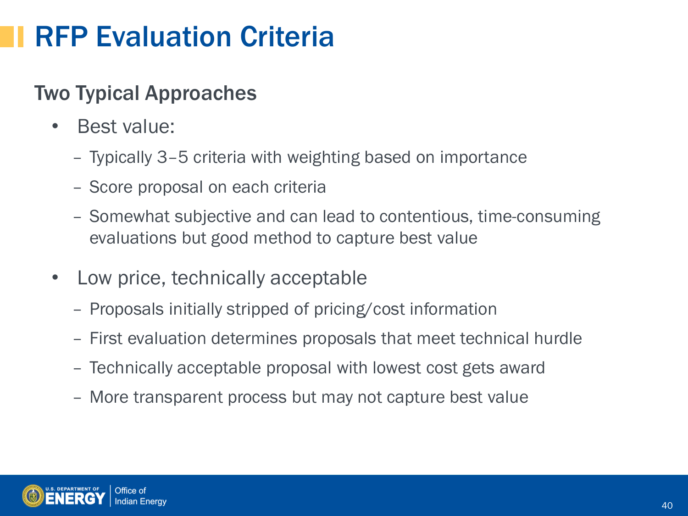### RFP Evaluation Criteria

#### Two Typical Approaches

- Best value:
	- Typically 3–5 criteria with weighting based on importance
	- Score proposal on each criteria
	- Somewhat subjective and can lead to contentious, time-consuming evaluations but good method to capture best value
- Low price, technically acceptable
	- Proposals initially stripped of pricing/cost information
	- First evaluation determines proposals that meet technical hurdle
	- Technically acceptable proposal with lowest cost gets award
	- More transparent process but may not capture best value

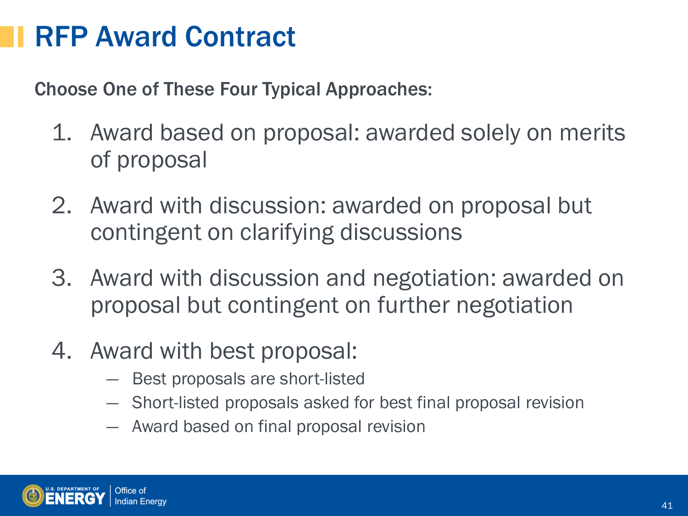#### RFP Award Contract

Choose One of These Four Typical Approaches:

- 1. Award based on proposal: awarded solely on merits of proposal
- 2. Award with discussion: awarded on proposal but contingent on clarifying discussions
- 3. Award with discussion and negotiation: awarded on proposal but contingent on further negotiation
- 4. Award with best proposal:
	- ― Best proposals are short-listed
	- ― Short-listed proposals asked for best final proposal revision
	- ― Award based on final proposal revision

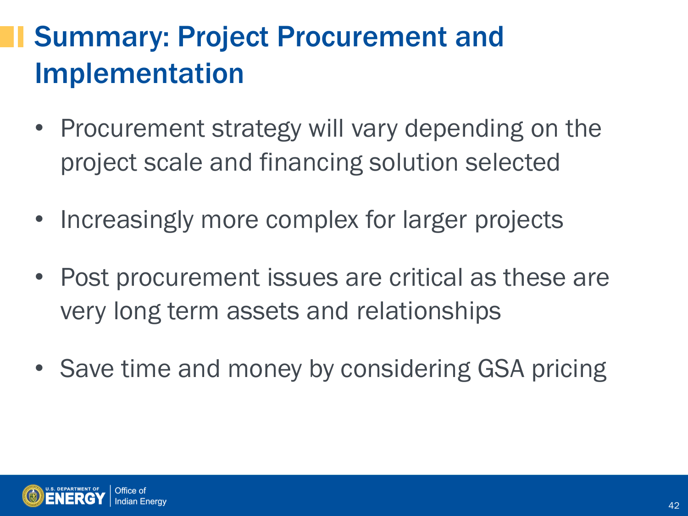# Summary: Project Procurement and Implementation

- Procurement strategy will vary depending on the project scale and financing solution selected
- Increasingly more complex for larger projects
- Post procurement issues are critical as these are very long term assets and relationships
- Save time and money by considering GSA pricing

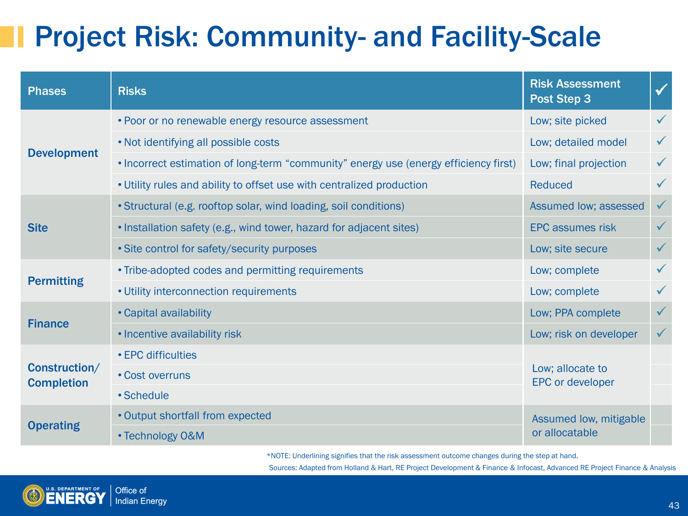### Project Risk: Community- and Facility-Scale

| <b>Phases</b>                      | <b>Risks</b>                                                                         | <b>Risk Assessment</b><br>Post Step 3       | $\checkmark$ |
|------------------------------------|--------------------------------------------------------------------------------------|---------------------------------------------|--------------|
|                                    | • Poor or no renewable energy resource assessment                                    | Low; site picked                            |              |
| <b>Development</b>                 | . Not identifying all possible costs                                                 | Low; detailed model                         |              |
|                                    | . Incorrect estimation of long-term "community" energy use (energy efficiency first) | Low; final projection                       | $\checkmark$ |
|                                    | . Utility rules and ability to offset use with centralized production                | <b>Reduced</b>                              | $\checkmark$ |
|                                    | • Structural (e.g. rooftop solar, wind loading, soil conditions)                     | Assumed low; assessed                       | $\checkmark$ |
| <b>Site</b>                        | . Installation safety (e.g., wind tower, hazard for adjacent sites)                  | <b>EPC assumes risk</b>                     | $\checkmark$ |
|                                    | • Site control for safety/security purposes                                          | Low; site secure                            | $\checkmark$ |
| <b>Permitting</b>                  | • Tribe-adopted codes and permitting requirements                                    | Low; complete                               |              |
|                                    | • Utility interconnection requirements                                               | Low; complete                               |              |
| <b>Finance</b>                     | • Capital availability                                                               | Low; PPA complete                           | $\checkmark$ |
|                                    | • Incentive availability risk                                                        | Low; risk on developer                      | $\checkmark$ |
|                                    | • EPC difficulties                                                                   |                                             |              |
| Construction/<br><b>Completion</b> | • Cost overruns                                                                      | Low; allocate to<br><b>EPC or developer</b> |              |
|                                    | • Schedule                                                                           |                                             |              |
| <b>Operating</b>                   | • Output shortfall from expected                                                     | Assumed low, mitigable                      |              |
|                                    | • Technology O&M                                                                     | or allocatable                              |              |

\*NOTE: Underlining signifies that the risk assessment outcome changes during the step at hand.

Sources: Adapted from Holland & Hart, RE Project Development & Finance & Infocast, Advanced RE Project Finance & Analysis

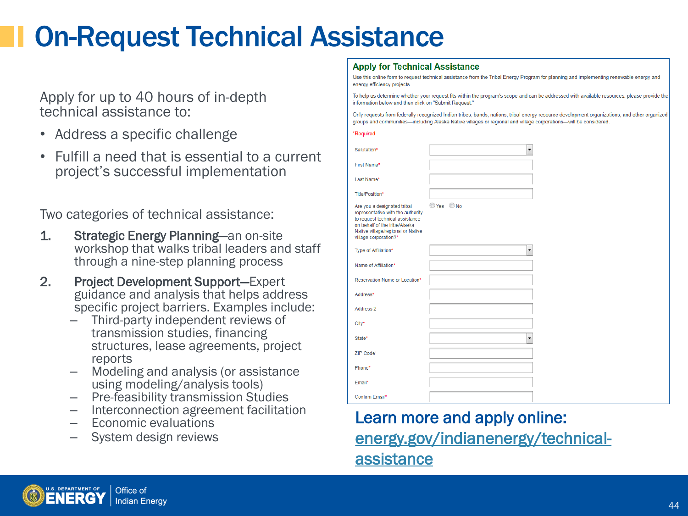### On-Request Technical Assistance

Apply for up to 40 hours of in-depth technical assistance to:

- Address a specific challenge
- Fulfill a need that is essential to a current project's successful implementation

Two categories of technical assistance:

- 1. Strategic Energy Planning—an on-site workshop that walks tribal leaders and staff through a nine-step planning process
- 2. Project Development Support—Expert guidance and analysis that helps address specific project barriers. Examples include:
	- Third-party independent reviews of transmission studies, financing structures, lease agreements, project
	- reports<br>- Modeling and analysis (or assistance<br>using modeling/analysis tools)
	-
	- using modeling/analysis tools) Pre-feasibility transmission Studies Interconnection agreement facilitation Economic evaluations
	-
	- System design reviews

#### **Apply for Technical Assistance**

Use this online form to request technical assistance from the Tribal Energy Program for planning and implementing renewable energy and energy efficiency projects.

To help us determine whether your request fits within the program's scope and can be addressed with available resources, please provide the information below and then click on "Submit Request."

Only requests from federally recognized Indian tribes, bands, nations, tribal energy resource development organizations, and other organized groups and communities-including Alaska Native villages or regional and village corporations-will be considered.

#### \*Required

| Salutation*                                                                                                                                                                                        | $\overline{\phantom{0}}$ |
|----------------------------------------------------------------------------------------------------------------------------------------------------------------------------------------------------|--------------------------|
| First Name*                                                                                                                                                                                        |                          |
| Last Name*                                                                                                                                                                                         |                          |
| Title/Position*                                                                                                                                                                                    |                          |
| Are you a designated tribal<br>representative with the authority<br>to request technical assistance<br>on behalf of the tribe/Alaska<br>Native village/regional or Native<br>village corporation?* | Yes ONo                  |
| Type of Affiliation*                                                                                                                                                                               | ۰                        |
| Name of Affiliation*                                                                                                                                                                               |                          |
| Reservation Name or Location*                                                                                                                                                                      |                          |
| Address*                                                                                                                                                                                           |                          |
| Address 2                                                                                                                                                                                          |                          |
| City*                                                                                                                                                                                              |                          |
| State*                                                                                                                                                                                             | $\overline{\phantom{0}}$ |
| ZIP Code*                                                                                                                                                                                          |                          |
| Phone*                                                                                                                                                                                             |                          |
| Email*                                                                                                                                                                                             |                          |
| Confirm Email*                                                                                                                                                                                     |                          |

#### Learn more and apply online: [energy.gov/indianenergy/technical](http://energy.gov/indianenergy/technical-assistance)[assistance](http://energy.gov/indianenergy/technical-assistance)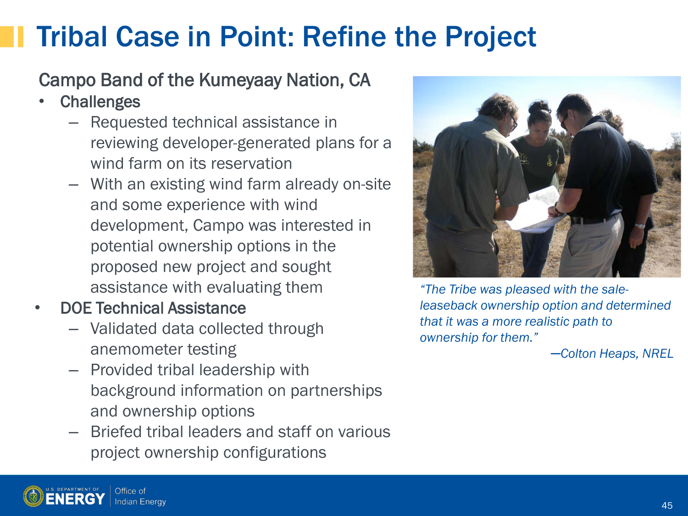### Tribal Case in Point: Refine the Project

#### Campo Band of the Kumeyaay Nation, CA

- Challenges
	- Requested technical assistance in reviewing developer-generated plans for a wind farm on its reservation
	- With an existing wind farm already on-site and some experience with wind development, Campo was interested in potential ownership options in the proposed new project and sought assistance with evaluating them
- DOE Technical Assistance
	- Validated data collected through anemometer testing
	- Provided tribal leadership with background information on partnerships and ownership options
	- Briefed tribal leaders and staff on various project ownership configurations



*"The Tribe was pleased with the saleleaseback ownership option and determined that it was a more realistic path to ownership for them."*

*─Colton Heaps, NREL*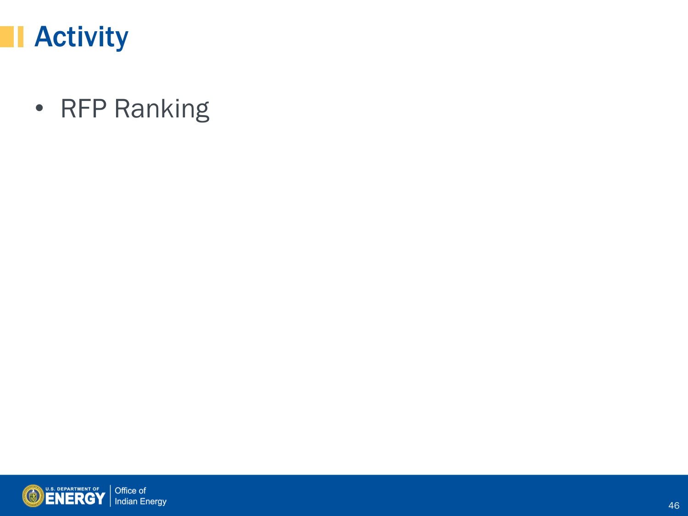

• RFP Ranking

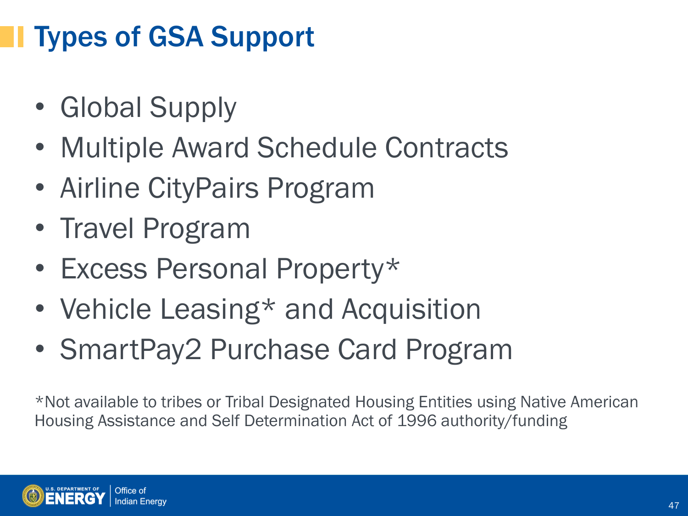## Types of GSA Support

- Global Supply
- Multiple Award Schedule Contracts
- Airline CityPairs Program
- Travel Program
- Excess Personal Property\*
- Vehicle Leasing\* and Acquisition
- SmartPay2 Purchase Card Program

\*Not available to tribes or Tribal Designated Housing Entities using Native American Housing Assistance and Self Determination Act of 1996 authority/funding